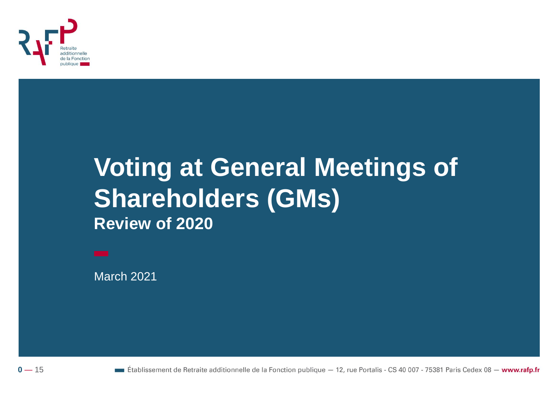

## **Voting at General Meetings of Shareholders (GMs) Review of 2020**

March 2021



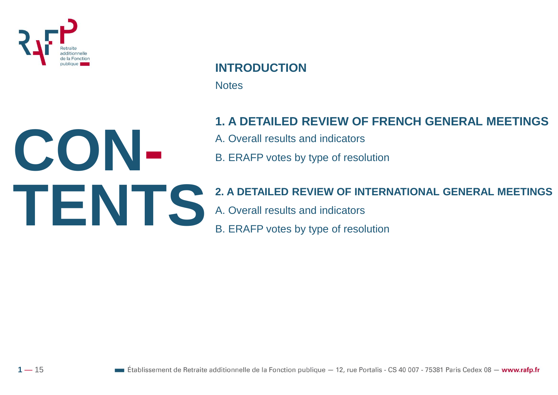

**CON-**

**TENTS**

 $1 - 15$ 

## **INTRODUCTION**

**Notes** 

### **1. A DETAILED REVIEW OF FRENCH GENERAL MEETINGS**

- A. Overall results and indicators
- B. ERAFP votes by type of resolution

## **2. A DETAILED REVIEW OF INTERNATIONAL GENERAL MEETINGS**

A. Overall results and indicators

B. ERAFP votes by type of resolution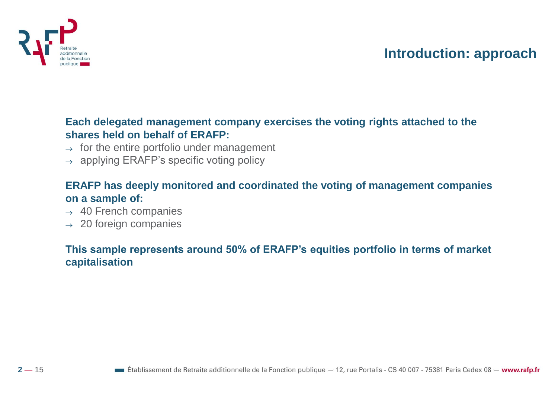

## **Introduction: approach**

#### **Each delegated management company exercises the voting rights attached to the shares held on behalf of ERAFP:**

- $\rightarrow$  for the entire portfolio under management
- $\rightarrow$  applying ERAFP's specific voting policy

#### **ERAFP has deeply monitored and coordinated the voting of management companies on a sample of:**

- $\rightarrow$  40 French companies
- $\rightarrow$  20 foreign companies

#### **This sample represents around 50% of ERAFP's equities portfolio in terms of market capitalisation**

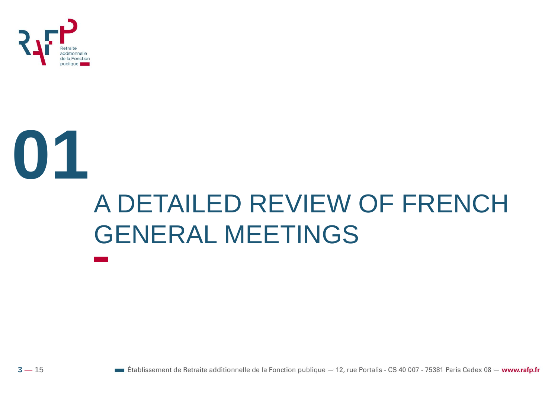

## **01** A DETAILED REVIEW OF FRENCH GENERAL MEETINGS

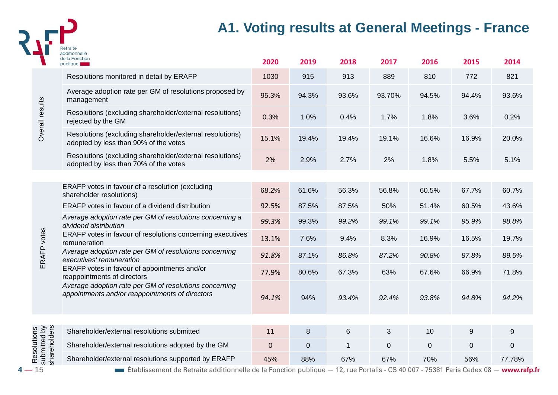

## **A1. Voting results at General Meetings - France**

|                 |                              | additionnelle<br>de la Fonction<br>publique                                                                                      | 2020  | 2019        | 2018         | 2017      | 2016        | 2015           | 2014   |
|-----------------|------------------------------|----------------------------------------------------------------------------------------------------------------------------------|-------|-------------|--------------|-----------|-------------|----------------|--------|
|                 |                              | Resolutions monitored in detail by ERAFP                                                                                         | 1030  | 915         | 913          | 889       | 810         | 772            | 821    |
|                 |                              | Average adoption rate per GM of resolutions proposed by<br>management                                                            | 95.3% | 94.3%       | 93.6%        | 93.70%    | 94.5%       | 94.4%          | 93.6%  |
| Overall results |                              | Resolutions (excluding shareholder/external resolutions)<br>rejected by the GM                                                   | 0.3%  | 1.0%        | 0.4%         | 1.7%      | 1.8%        | 3.6%           | 0.2%   |
|                 |                              | Resolutions (excluding shareholder/external resolutions)<br>adopted by less than 90% of the votes                                | 15.1% | 19.4%       | 19.4%        | 19.1%     | 16.6%       | 16.9%          | 20.0%  |
|                 |                              | Resolutions (excluding shareholder/external resolutions)<br>adopted by less than 70% of the votes                                | 2%    | 2.9%        | 2.7%         | 2%        | 1.8%        | 5.5%           | 5.1%   |
|                 |                              |                                                                                                                                  |       |             |              |           |             |                |        |
|                 |                              | ERAFP votes in favour of a resolution (excluding<br>shareholder resolutions)                                                     | 68.2% | 61.6%       | 56.3%        | 56.8%     | 60.5%       | 67.7%          | 60.7%  |
|                 |                              | ERAFP votes in favour of a dividend distribution                                                                                 | 92.5% | 87.5%       | 87.5%        | 50%       | 51.4%       | 60.5%          | 43.6%  |
|                 |                              | Average adoption rate per GM of resolutions concerning a<br>dividend distribution                                                | 99.3% | 99.3%       | 99.2%        | 99.1%     | 99.1%       | 95.9%          | 98.8%  |
|                 | ERAFP votes                  | ERAFP votes in favour of resolutions concerning executives'<br>remuneration                                                      | 13.1% | 7.6%        | 9.4%         | 8.3%      | 16.9%       | 16.5%          | 19.7%  |
|                 |                              | Average adoption rate per GM of resolutions concerning<br>executives' remuneration                                               | 91.8% | 87.1%       | 86.8%        | 87.2%     | 90.8%       | 87.8%          | 89.5%  |
|                 |                              | ERAFP votes in favour of appointments and/or<br>reappointments of directors                                                      | 77.9% | 80.6%       | 67.3%        | 63%       | 67.6%       | 66.9%          | 71.8%  |
|                 |                              | Average adoption rate per GM of resolutions concerning<br>appointments and/or reappointments of directors                        | 94.1% | 94%         | 93.4%        | 92.4%     | 93.8%       | 94.8%          | 94.2%  |
|                 |                              |                                                                                                                                  |       |             |              |           |             |                |        |
|                 |                              | Shareholder/external resolutions submitted                                                                                       | 11    | 8           | 6            | 3         | 10          | 9              | 9      |
| Resolutions     | submitted by<br>shareholders | Shareholder/external resolutions adopted by the GM                                                                               | 0     | $\mathbf 0$ | $\mathbf{1}$ | $\pmb{0}$ | $\mathbf 0$ | $\overline{0}$ | 0      |
|                 |                              | Shareholder/external resolutions supported by ERAFP                                                                              | 45%   | 88%         | 67%          | 67%       | 70%         | 56%            | 77.78% |
| 15              |                              | Etablissement de Retraite additionnelle de la Fonction publique – 12, rue Portalis - CS 40 007 - 75381 Paris Cedex 08 - www.rafp |       |             |              |           |             |                |        |

**Etablissement de Retraite additionnelle de la Fonction publique**  $-12$ , rue Portalis - CS 40 007 - 75381 Paris Cedex 08 - www.rafp.fr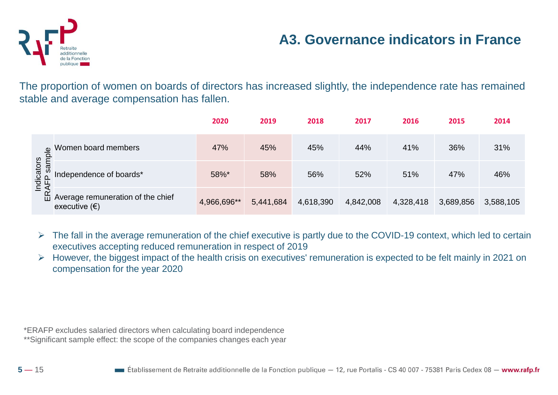

## **A3. Governance indicators in France**

The proportion of women on boards of directors has increased slightly, the independence rate has remained stable and average compensation has fallen.

|               |                                                             | 2020        | 2019      | 2018      | 2017      | 2016      | 2015      | 2014      |
|---------------|-------------------------------------------------------------|-------------|-----------|-----------|-----------|-----------|-----------|-----------|
| sample        | Women board members                                         | 47%         | 45%       | 45%       | 44%       | 41%       | 36%       | 31%       |
| icators       | Independence of boards*                                     | 58%*        | 58%       | 56%       | 52%       | 51%       | 47%       | 46%       |
| Indi<br>ERAFI | Average remuneration of the chief<br>executive $(\epsilon)$ | 4,966,696** | 5,441,684 | 4,618,390 | 4,842,008 | 4,328,418 | 3,689,856 | 3,588,105 |

 $\triangleright$  The fall in the average remuneration of the chief executive is partly due to the COVID-19 context, which led to certain executives accepting reduced remuneration in respect of 2019

➢ However, the biggest impact of the health crisis on executives' remuneration is expected to be felt mainly in 2021 on compensation for the year 2020

\*ERAFP excludes salaried directors when calculating board independence

\*\*Significant sample effect: the scope of the companies changes each year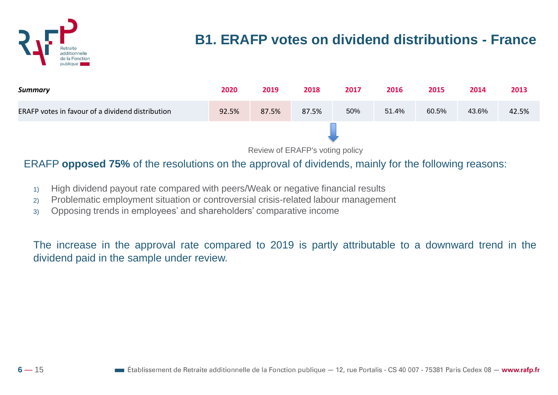

## **B1. ERAFP votes on dividend distributions - France**



Review of ERAFP's voting policy

#### ERAFP **opposed 75%** of the resolutions on the approval of dividends, mainly for the following reasons:

- 1) High dividend payout rate compared with peers/Weak or negative financial results
- 2) Problematic employment situation or controversial crisis-related labour management
- 3) Opposing trends in employees' and shareholders' comparative income

The increase in the approval rate compared to 2019 is partly attributable to a downward trend in the dividend paid in the sample under review.

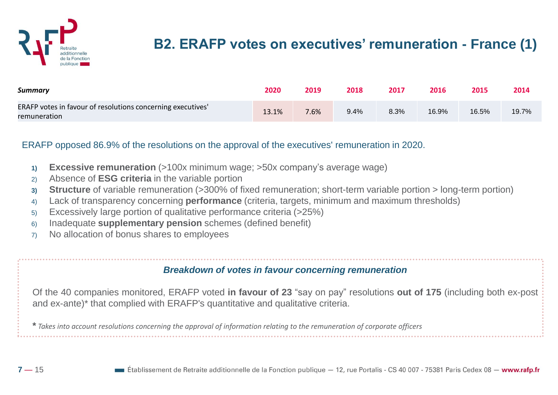

## **B2. ERAFP votes on executives' remuneration - France (1)**

| <b>Summary</b>                                                              | 2020  | 2019 | 2018 | 2017 | 2016  | 2015  | 2014  |
|-----------------------------------------------------------------------------|-------|------|------|------|-------|-------|-------|
| ERAFP votes in favour of resolutions concerning executives'<br>remuneration | 13.1% | 7.6% | 9.4% | 8.3% | 16.9% | 16.5% | 19.7% |

#### ERAFP opposed 86.9% of the resolutions on the approval of the executives' remuneration in 2020.

- **1) Excessive remuneration** (>100x minimum wage; >50x company's average wage)
- 2) Absence of **ESG criteria** in the variable portion
- **3) Structure** of variable remuneration (>300% of fixed remuneration; short-term variable portion > long-term portion)
- 4) Lack of transparency concerning **performance** (criteria, targets, minimum and maximum thresholds)
- 5) Excessively large portion of qualitative performance criteria (>25%)
- 6) Inadequate **supplementary pension** schemes (defined benefit)
- 7) No allocation of bonus shares to employees

#### *Breakdown of votes in favour concerning remuneration*

Of the 40 companies monitored, ERAFP voted **in favour of 23** "say on pay" resolutions **out of 175** (including both ex-post and ex-ante)\* that complied with ERAFP's quantitative and qualitative criteria.

\* Takes into account resolutions concerning the approval of information relating to the remuneration of corporate officers

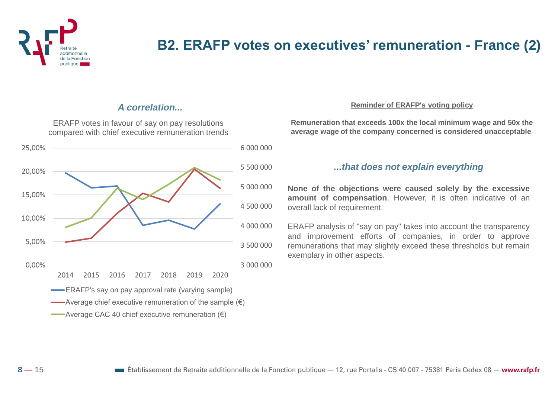

## **B2. ERAFP votes on executives' remuneration - France (2)**

#### *A correlation...*

ERAFP votes in favour of say on pay resolutions compared with chief executive remuneration trends



#### **Reminder of ERAFP's voting policy**

**Remuneration that exceeds 100x the local minimum wage and 50x the average wage of the company concerned is considered unacceptable**

#### *...that does not explain everything*

**None of the objections were caused solely by the excessive amount of compensation**. However, it is often indicative of an overall lack of requirement.

ERAFP analysis of "say on pay" takes into account the transparency and improvement efforts of companies, in order to approve remunerations that may slightly exceed these thresholds but remain exemplary in other aspects.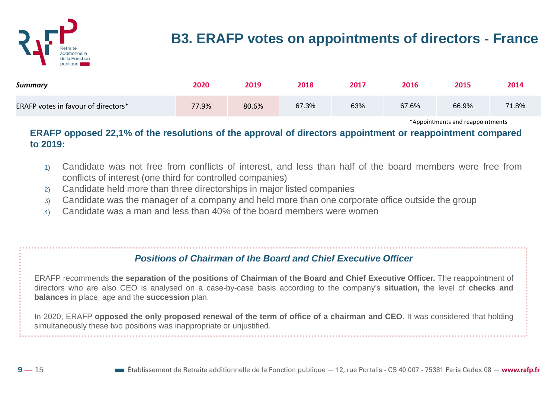

## **B3. ERAFP votes on appointments of directors - France**

| <b>Summary</b>                      | 2020  | 2019  | 2018  | 2017 | 2016  | 2015  | 2014  |
|-------------------------------------|-------|-------|-------|------|-------|-------|-------|
| ERAFP votes in favour of directors* | 77.9% | 80.6% | 67.3% | 63%  | 67.6% | 66.9% | 71.8% |

\*Appointments and reappointments

#### **ERAFP opposed 22,1% of the resolutions of the approval of directors appointment or reappointment compared to 2019:**

- 1) Candidate was not free from conflicts of interest, and less than half of the board members were free from conflicts of interest (one third for controlled companies)
- 2) Candidate held more than three directorships in major listed companies
- 3) Candidate was the manager of a company and held more than one corporate office outside the group
- 4) Candidate was a man and less than 40% of the board members were women

#### *Positions of Chairman of the Board and Chief Executive Officer*

ERAFP recommends **the separation of the positions of Chairman of the Board and Chief Executive Officer.** The reappointment of directors who are also CEO is analysed on a case-by-case basis according to the company's **situation,** the level of **checks and balances** in place, age and the **succession** plan.

In 2020, ERAFP opposed the only proposed renewal of the term of office of a chairman and CEO. It was considered that holding simultaneously these two positions was inappropriate or unjustified.

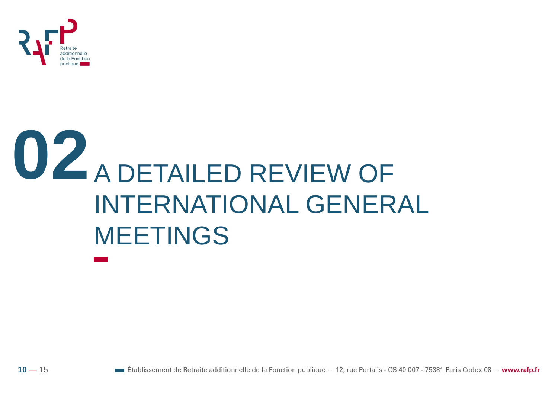

# **02** A DETAILED REVIEW OF INTERNATIONAL GENERAL MEETINGS

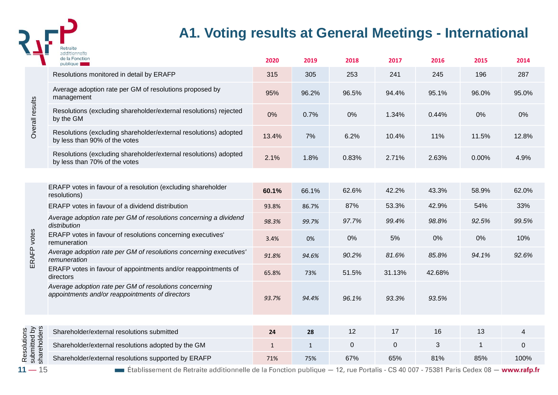

## **A1. Voting results at General Meetings - International**

|                                             | de la Fonction<br>publique                                                                                                                             | 2020         | 2019         | 2018        | 2017   | 2016   | 2015        | 2014      |
|---------------------------------------------|--------------------------------------------------------------------------------------------------------------------------------------------------------|--------------|--------------|-------------|--------|--------|-------------|-----------|
|                                             | Resolutions monitored in detail by ERAFP                                                                                                               | 315          | 305          | 253         | 241    | 245    | 196         | 287       |
| Overall results                             | Average adoption rate per GM of resolutions proposed by<br>management                                                                                  | 95%          | 96.2%        | 96.5%       | 94.4%  | 95.1%  | 96.0%       | 95.0%     |
|                                             | Resolutions (excluding shareholder/external resolutions) rejected<br>by the GM                                                                         | 0%           | 0.7%         | 0%          | 1.34%  | 0.44%  | 0%          | 0%        |
|                                             | Resolutions (excluding shareholder/external resolutions) adopted<br>by less than 90% of the votes                                                      | 13.4%        | 7%           | 6.2%        | 10.4%  | 11%    | 11.5%       | 12.8%     |
|                                             | Resolutions (excluding shareholder/external resolutions) adopted<br>by less than 70% of the votes                                                      | 2.1%         | 1.8%         | 0.83%       | 2.71%  | 2.63%  | 0.00%       | 4.9%      |
|                                             |                                                                                                                                                        |              |              |             |        |        |             |           |
|                                             | ERAFP votes in favour of a resolution (excluding shareholder<br>resolutions)                                                                           | 60.1%        | 66.1%        | 62.6%       | 42.2%  | 43.3%  | 58.9%       | 62.0%     |
|                                             | ERAFP votes in favour of a dividend distribution                                                                                                       | 93.8%        | 86.7%        | 87%         | 53.3%  | 42.9%  | 54%         | 33%       |
|                                             | Average adoption rate per GM of resolutions concerning a dividend<br>distribution                                                                      | 98.3%        | 99.7%        | 97.7%       | 99.4%  | 98.8%  | 92.5%       | 99.5%     |
| ERAFP votes                                 | ERAFP votes in favour of resolutions concerning executives'<br>remuneration                                                                            | 3.4%         | 0%           | 0%          | 5%     | 0%     | 0%          | 10%       |
|                                             | Average adoption rate per GM of resolutions concerning executives'<br>remuneration                                                                     | 91.8%        | 94.6%        | 90.2%       | 81.6%  | 85.8%  | 94.1%       | 92.6%     |
|                                             | ERAFP votes in favour of appointments and/or reappointments of<br>directors                                                                            | 65.8%        | 73%          | 51.5%       | 31.13% | 42.68% |             |           |
|                                             | Average adoption rate per GM of resolutions concerning<br>appointments and/or reappointments of directors                                              | 93.7%        | 94.4%        | 96.1%       | 93.3%  | 93.5%  |             |           |
|                                             |                                                                                                                                                        |              |              |             |        |        |             |           |
|                                             | Shareholder/external resolutions submitted                                                                                                             | 24           | 28           | 12          | 17     | 16     | 13          | 4         |
| shareholders<br>Resolutions<br>submitted by | Shareholder/external resolutions adopted by the GM                                                                                                     | $\mathbf{1}$ | $\mathbf{1}$ | $\mathbf 0$ | 0      | 3      | $\mathbf 1$ | $\pmb{0}$ |
|                                             | Shareholder/external resolutions supported by ERAFP                                                                                                    | 71%          | 75%          | 67%         | 65%    | 81%    | 85%         | 100%      |
| $11 - 15$                                   | $\blacksquare$ Établissement de Retraite additionnelle de la Fonction publique $-$ 12, rue Portalis - CS 40 007 - 75381 Paris Cedex 08 $-$ www.rafp.fr |              |              |             |        |        |             |           |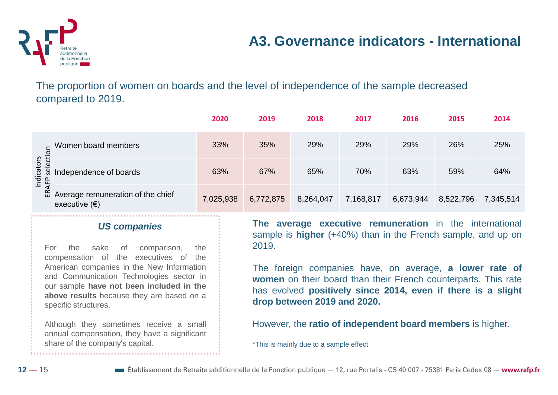

## **A3. Governance indicators - International**

The proportion of women on boards and the level of independence of the sample decreased compared to 2019.

|                                         |                                                                | 2020      | 2019      | 2018      | 2017      | 2016      | 2015      | 2014      |
|-----------------------------------------|----------------------------------------------------------------|-----------|-----------|-----------|-----------|-----------|-----------|-----------|
|                                         | Women board members                                            | 33%       | 35%       | 29%       | 29%       | 29%       | 26%       | 25%       |
| Indicators<br><sub>KAFP</sub> selection | Independence of boards                                         | 63%       | 67%       | 65%       | 70%       | 63%       | 59%       | 64%       |
|                                         | de Average remuneration of the chief<br>executive $(\epsilon)$ | 7,025,938 | 6,772,875 | 8,264,047 | 7,168,817 | 6,673,944 | 8,522,796 | 7,345,514 |

#### *US companies*

For the sake of comparison, the compensation of the executives of the American companies in the New Information and Communication Technologies sector in our sample **have not been included in the above results** because they are based on a specific structures.

Although they sometimes receive a small annual compensation, they have a significant share of the company's capital.

**The average executive remuneration** in the international sample is **higher** (+40%) than in the French sample, and up on 2019.

The foreign companies have, on average, **a lower rate of women** on their board than their French counterparts. This rate has evolved **positively since 2014, even if there is a slight drop between 2019 and 2020.**

However, the **ratio of independent board members** is higher.

\*This is mainly due to a sample effect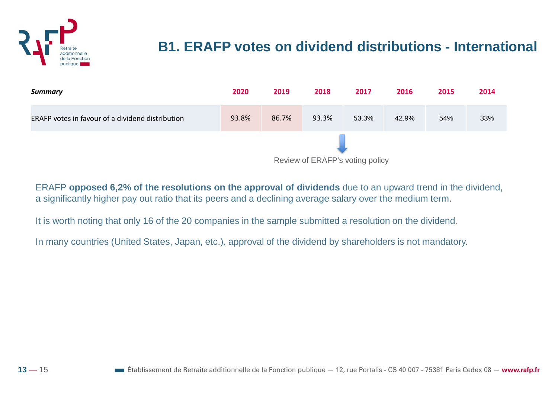

## **B1. ERAFP votes on dividend distributions - International**

| <b>Summary</b>                                   | 2020  | 2019  | 2018  | 2017  | 2016  | 2015 | 2014 |
|--------------------------------------------------|-------|-------|-------|-------|-------|------|------|
| ERAFP votes in favour of a dividend distribution | 93.8% | 86.7% | 93.3% | 53.3% | 42.9% | 54%  | 33%  |
| Review of ERAFP's voting policy                  |       |       |       |       |       |      |      |

ERAFP **opposed 6,2% of the resolutions on the approval of dividends** due to an upward trend in the dividend, a significantly higher pay out ratio that its peers and a declining average salary over the medium term.

It is worth noting that only 16 of the 20 companies in the sample submitted a resolution on the dividend.

In many countries (United States, Japan, etc.)*,* approval of the dividend by shareholders is not mandatory.

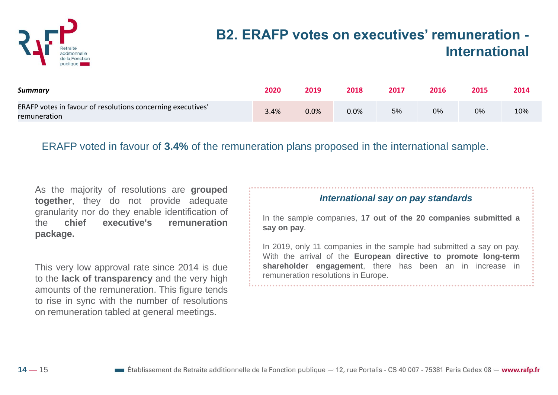

## **B2. ERAFP votes on executives' remuneration - International**

| Summary                                                                     | 2020 | 2019 | 2018 | 2017 | 2016 | 2015 | 2014 |
|-----------------------------------------------------------------------------|------|------|------|------|------|------|------|
| ERAFP votes in favour of resolutions concerning executives'<br>remuneration | 3.4% | 0.0% | 0.0% | 5%   | 0%   | 0%   | 10%  |

ERAFP voted in favour of **3.4%** of the remuneration plans proposed in the international sample.

As the majority of resolutions are **grouped together**, they do not provide adequate granularity nor do they enable identification of the **chief executive's remuneration package.**

This very low approval rate since 2014 is due to the **lack of transparency** and the very high amounts of the remuneration. This figure tends to rise in sync with the number of resolutions on remuneration tabled at general meetings.

#### *International say on pay standards*

In the sample companies, **17 out of the 20 companies submitted a say on pay**.

In 2019, only 11 companies in the sample had submitted a say on pay. With the arrival of the **European directive to promote long-term shareholder engagement**, there has been an in increase in remuneration resolutions in Europe.